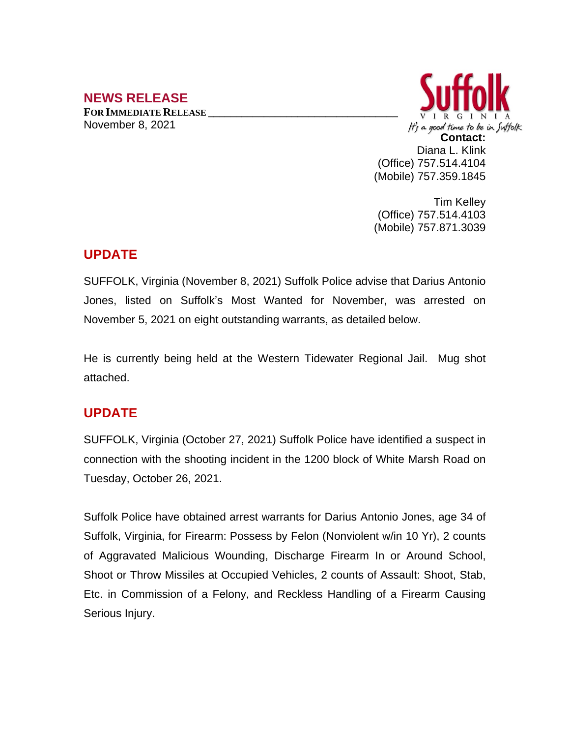## **NEWS RELEASE**

**FOR IMMEDIATE RELEASE \_\_\_\_\_\_\_\_\_\_\_\_\_\_\_\_\_\_\_\_\_\_\_\_\_\_\_\_\_\_\_\_\_\_** November 8, 2021



Tim Kelley (Office) 757.514.4103 (Mobile) 757.871.3039

## **UPDATE**

SUFFOLK, Virginia (November 8, 2021) Suffolk Police advise that Darius Antonio Jones, listed on Suffolk's Most Wanted for November, was arrested on November 5, 2021 on eight outstanding warrants, as detailed below.

He is currently being held at the Western Tidewater Regional Jail. Mug shot attached.

## **UPDATE**

SUFFOLK, Virginia (October 27, 2021) Suffolk Police have identified a suspect in connection with the shooting incident in the 1200 block of White Marsh Road on Tuesday, October 26, 2021.

Suffolk Police have obtained arrest warrants for Darius Antonio Jones, age 34 of Suffolk, Virginia, for Firearm: Possess by Felon (Nonviolent w/in 10 Yr), 2 counts of Aggravated Malicious Wounding, Discharge Firearm In or Around School, Shoot or Throw Missiles at Occupied Vehicles, 2 counts of Assault: Shoot, Stab, Etc. in Commission of a Felony, and Reckless Handling of a Firearm Causing Serious Injury.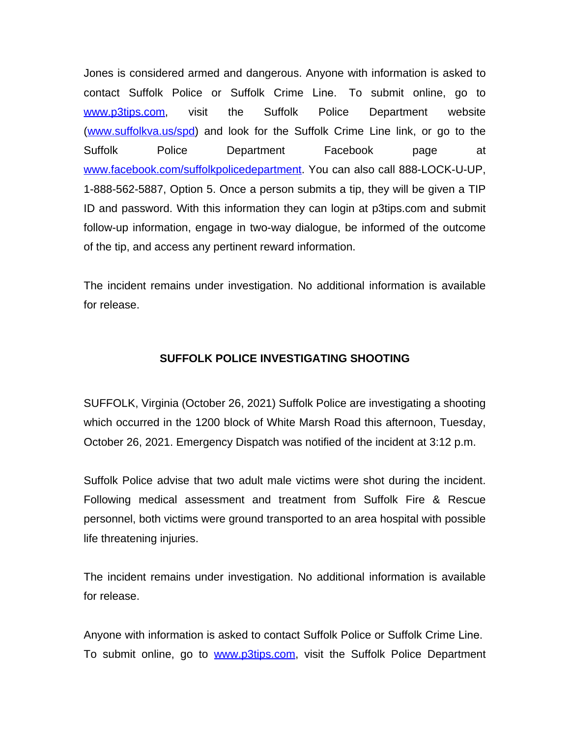Jones is considered armed and dangerous. Anyone with information is asked to contact Suffolk Police or Suffolk Crime Line. To submit online, go to [www.p3tips.com](http://www.p3tips.com), visit the Suffolk Police Department website ([www.suffolkva.us/spd](http://www.suffolkva.us/spd)) and look for the Suffolk Crime Line link, or go to the Suffolk Police Department Facebook page at [www.facebook.com/suffolkpolicedepartment](http://www.facebook.com/suffolkpolicedepartment). You can also call 888-LOCK-U-UP, 1-888-562-5887, Option 5. Once a person submits a tip, they will be given a TIP ID and password. With this information they can login at p3tips.com and submit follow-up information, engage in two-way dialogue, be informed of the outcome of the tip, and access any pertinent reward information.

The incident remains under investigation. No additional information is available for release.

## **SUFFOLK POLICE INVESTIGATING SHOOTING**

SUFFOLK, Virginia (October 26, 2021) Suffolk Police are investigating a shooting which occurred in the 1200 block of White Marsh Road this afternoon, Tuesday, October 26, 2021. Emergency Dispatch was notified of the incident at 3:12 p.m.

Suffolk Police advise that two adult male victims were shot during the incident. Following medical assessment and treatment from Suffolk Fire & Rescue personnel, both victims were ground transported to an area hospital with possible life threatening injuries.

The incident remains under investigation. No additional information is available for release.

Anyone with information is asked to contact Suffolk Police or Suffolk Crime Line. To submit online, go to [www.p3tips.com](http://www.p3tips.com), visit the Suffolk Police Department